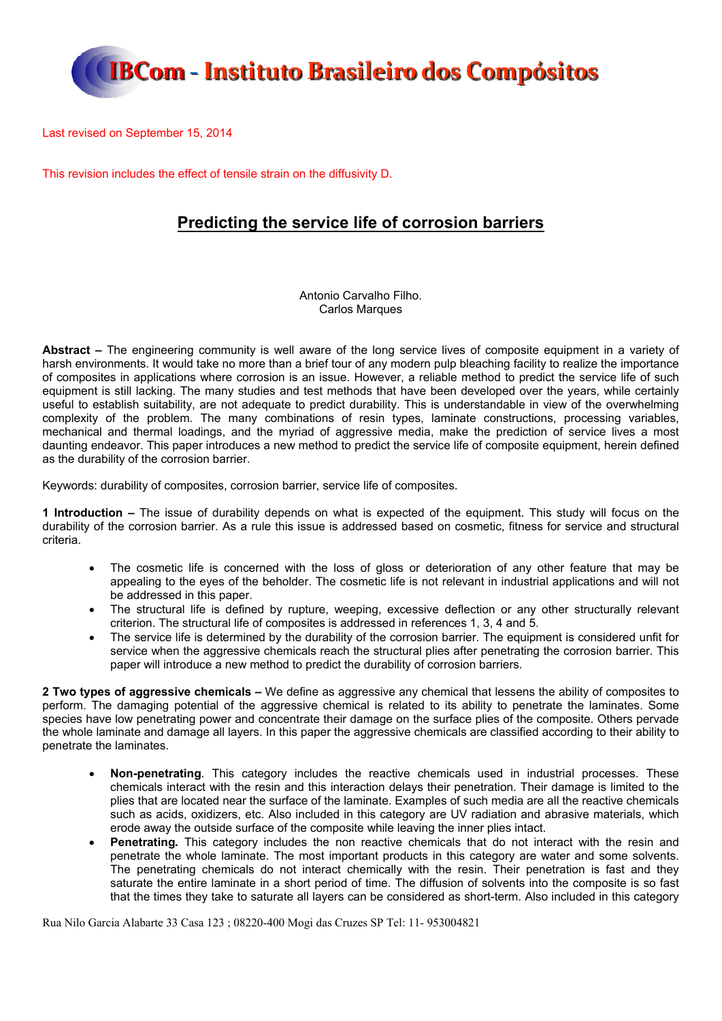

Last revised on September 15, 2014

This revision includes the effect of tensile strain on the diffusivity D.

#### **Predicting the service life of corrosion barriers**

Antonio Carvalho Filho. Carlos Marques

**Abstract –** The engineering community is well aware of the long service lives of composite equipment in a variety of harsh environments. It would take no more than a brief tour of any modern pulp bleaching facility to realize the importance of composites in applications where corrosion is an issue. However, a reliable method to predict the service life of such equipment is still lacking. The many studies and test methods that have been developed over the years, while certainly useful to establish suitability, are not adequate to predict durability. This is understandable in view of the overwhelming complexity of the problem. The many combinations of resin types, laminate constructions, processing variables, mechanical and thermal loadings, and the myriad of aggressive media, make the prediction of service lives a most daunting endeavor. This paper introduces a new method to predict the service life of composite equipment, herein defined as the durability of the corrosion barrier.

Keywords: durability of composites, corrosion barrier, service life of composites.

**1 Introduction –** The issue of durability depends on what is expected of the equipment. This study will focus on the durability of the corrosion barrier. As a rule this issue is addressed based on cosmetic, fitness for service and structural criteria.

- The cosmetic life is concerned with the loss of gloss or deterioration of any other feature that may be appealing to the eyes of the beholder. The cosmetic life is not relevant in industrial applications and will not be addressed in this paper.
- The structural life is defined by rupture, weeping, excessive deflection or any other structurally relevant criterion. The structural life of composites is addressed in references 1, 3, 4 and 5.
- The service life is determined by the durability of the corrosion barrier. The equipment is considered unfit for service when the aggressive chemicals reach the structural plies after penetrating the corrosion barrier. This paper will introduce a new method to predict the durability of corrosion barriers.

**2 Two types of aggressive chemicals –** We define as aggressive any chemical that lessens the ability of composites to perform. The damaging potential of the aggressive chemical is related to its ability to penetrate the laminates. Some species have low penetrating power and concentrate their damage on the surface plies of the composite. Others pervade the whole laminate and damage all layers. In this paper the aggressive chemicals are classified according to their ability to penetrate the laminates.

- **Non-penetrating***.* This category includes the reactive chemicals used in industrial processes. These chemicals interact with the resin and this interaction delays their penetration. Their damage is limited to the plies that are located near the surface of the laminate. Examples of such media are all the reactive chemicals such as acids, oxidizers, etc. Also included in this category are UV radiation and abrasive materials, which erode away the outside surface of the composite while leaving the inner plies intact.
- **Penetrating***.* This category includes the non reactive chemicals that do not interact with the resin and penetrate the whole laminate. The most important products in this category are water and some solvents. The penetrating chemicals do not interact chemically with the resin. Their penetration is fast and they saturate the entire laminate in a short period of time. The diffusion of solvents into the composite is so fast that the times they take to saturate all layers can be considered as short-term. Also included in this category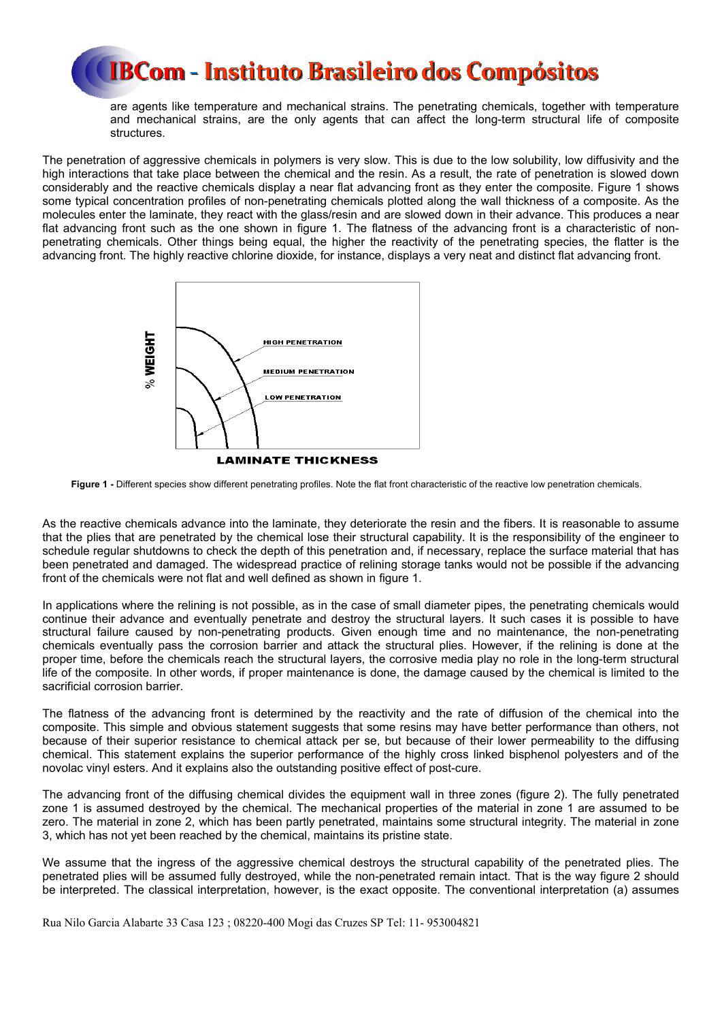are agents like temperature and mechanical strains. The penetrating chemicals, together with temperature and mechanical strains, are the only agents that can affect the long-term structural life of composite structures.

The penetration of aggressive chemicals in polymers is very slow. This is due to the low solubility, low diffusivity and the high interactions that take place between the chemical and the resin. As a result, the rate of penetration is slowed down considerably and the reactive chemicals display a near flat advancing front as they enter the composite. Figure 1 shows some typical concentration profiles of non-penetrating chemicals plotted along the wall thickness of a composite. As the molecules enter the laminate, they react with the glass/resin and are slowed down in their advance. This produces a near flat advancing front such as the one shown in figure 1. The flatness of the advancing front is a characteristic of nonpenetrating chemicals. Other things being equal, the higher the reactivity of the penetrating species, the flatter is the advancing front. The highly reactive chlorine dioxide, for instance, displays a very neat and distinct flat advancing front.



**Figure 1 -** Different species show different penetrating profiles. Note the flat front characteristic of the reactive low penetration chemicals.

As the reactive chemicals advance into the laminate, they deteriorate the resin and the fibers. It is reasonable to assume that the plies that are penetrated by the chemical lose their structural capability. It is the responsibility of the engineer to schedule regular shutdowns to check the depth of this penetration and, if necessary, replace the surface material that has been penetrated and damaged. The widespread practice of relining storage tanks would not be possible if the advancing front of the chemicals were not flat and well defined as shown in figure 1.

In applications where the relining is not possible, as in the case of small diameter pipes, the penetrating chemicals would continue their advance and eventually penetrate and destroy the structural layers. It such cases it is possible to have structural failure caused by non-penetrating products. Given enough time and no maintenance, the non-penetrating chemicals eventually pass the corrosion barrier and attack the structural plies. However, if the relining is done at the proper time, before the chemicals reach the structural layers, the corrosive media play no role in the long-term structural life of the composite. In other words, if proper maintenance is done, the damage caused by the chemical is limited to the sacrificial corrosion barrier.

The flatness of the advancing front is determined by the reactivity and the rate of diffusion of the chemical into the composite. This simple and obvious statement suggests that some resins may have better performance than others, not because of their superior resistance to chemical attack per se, but because of their lower permeability to the diffusing chemical. This statement explains the superior performance of the highly cross linked bisphenol polyesters and of the novolac vinyl esters. And it explains also the outstanding positive effect of post-cure.

The advancing front of the diffusing chemical divides the equipment wall in three zones (figure 2). The fully penetrated zone 1 is assumed destroyed by the chemical. The mechanical properties of the material in zone 1 are assumed to be zero. The material in zone 2, which has been partly penetrated, maintains some structural integrity. The material in zone 3, which has not yet been reached by the chemical, maintains its pristine state.

We assume that the ingress of the aggressive chemical destroys the structural capability of the penetrated plies. The penetrated plies will be assumed fully destroyed, while the non-penetrated remain intact. That is the way figure 2 should be interpreted. The classical interpretation, however, is the exact opposite. The conventional interpretation (a) assumes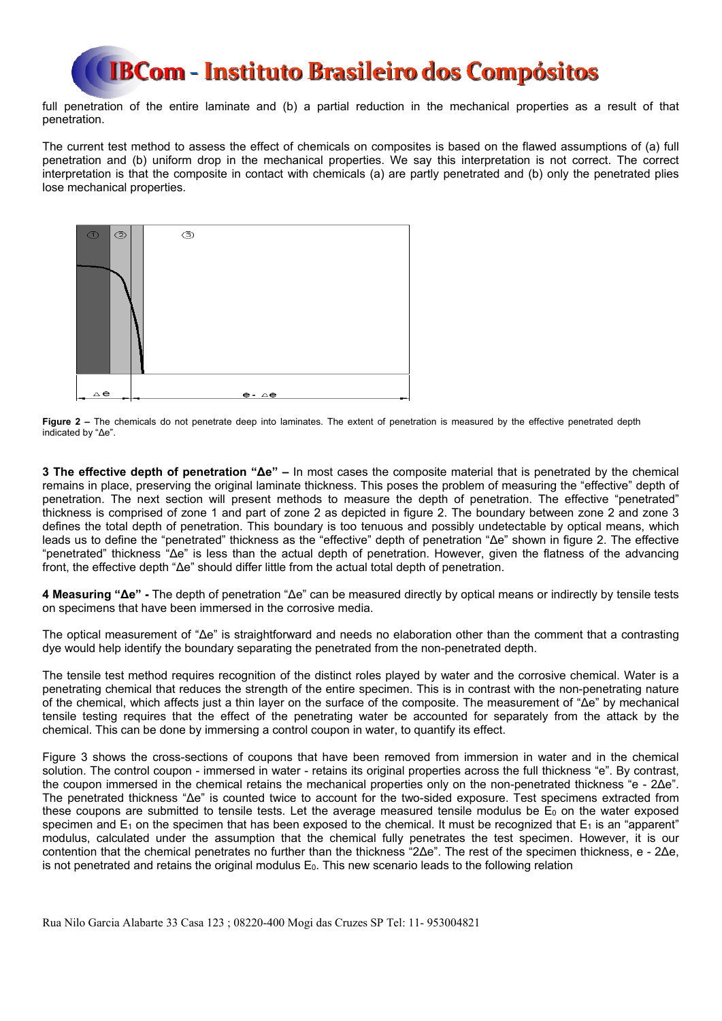full penetration of the entire laminate and (b) a partial reduction in the mechanical properties as a result of that penetration.

The current test method to assess the effect of chemicals on composites is based on the flawed assumptions of (a) full penetration and (b) uniform drop in the mechanical properties. We say this interpretation is not correct. The correct interpretation is that the composite in contact with chemicals (a) are partly penetrated and (b) only the penetrated plies lose mechanical properties.



Figure 2 – The chemicals do not penetrate deep into laminates. The extent of penetration is measured by the effective penetrated depth indicated by "Δe".

**3 The effective depth of penetration "Δe" –** In most cases the composite material that is penetrated by the chemical remains in place, preserving the original laminate thickness. This poses the problem of measuring the "effective" depth of penetration. The next section will present methods to measure the depth of penetration. The effective "penetrated" thickness is comprised of zone 1 and part of zone 2 as depicted in figure 2. The boundary between zone 2 and zone 3 defines the total depth of penetration. This boundary is too tenuous and possibly undetectable by optical means, which leads us to define the "penetrated" thickness as the "effective" depth of penetration "Δe" shown in figure 2. The effective "penetrated" thickness "Δe" is less than the actual depth of penetration. However, given the flatness of the advancing front, the effective depth "Δe" should differ little from the actual total depth of penetration.

**4 Measuring "Δe" -** The depth of penetration "Δe" can be measured directly by optical means or indirectly by tensile tests on specimens that have been immersed in the corrosive media.

The optical measurement of "Δe" is straightforward and needs no elaboration other than the comment that a contrasting dye would help identify the boundary separating the penetrated from the non-penetrated depth.

The tensile test method requires recognition of the distinct roles played by water and the corrosive chemical. Water is a penetrating chemical that reduces the strength of the entire specimen. This is in contrast with the non-penetrating nature of the chemical, which affects just a thin layer on the surface of the composite. The measurement of "Δe" by mechanical tensile testing requires that the effect of the penetrating water be accounted for separately from the attack by the chemical. This can be done by immersing a control coupon in water, to quantify its effect.

Figure 3 shows the cross-sections of coupons that have been removed from immersion in water and in the chemical solution. The control coupon - immersed in water - retains its original properties across the full thickness "e". By contrast, the coupon immersed in the chemical retains the mechanical properties only on the non-penetrated thickness "e - 2Δe". The penetrated thickness "Δe" is counted twice to account for the two-sided exposure. Test specimens extracted from these coupons are submitted to tensile tests. Let the average measured tensile modulus be  $E_0$  on the water exposed specimen and  $E_1$  on the specimen that has been exposed to the chemical. It must be recognized that  $E_1$  is an "apparent" modulus, calculated under the assumption that the chemical fully penetrates the test specimen. However, it is our contention that the chemical penetrates no further than the thickness "2Δe". The rest of the specimen thickness, e - 2Δe, is not penetrated and retains the original modulus  $E_0$ . This new scenario leads to the following relation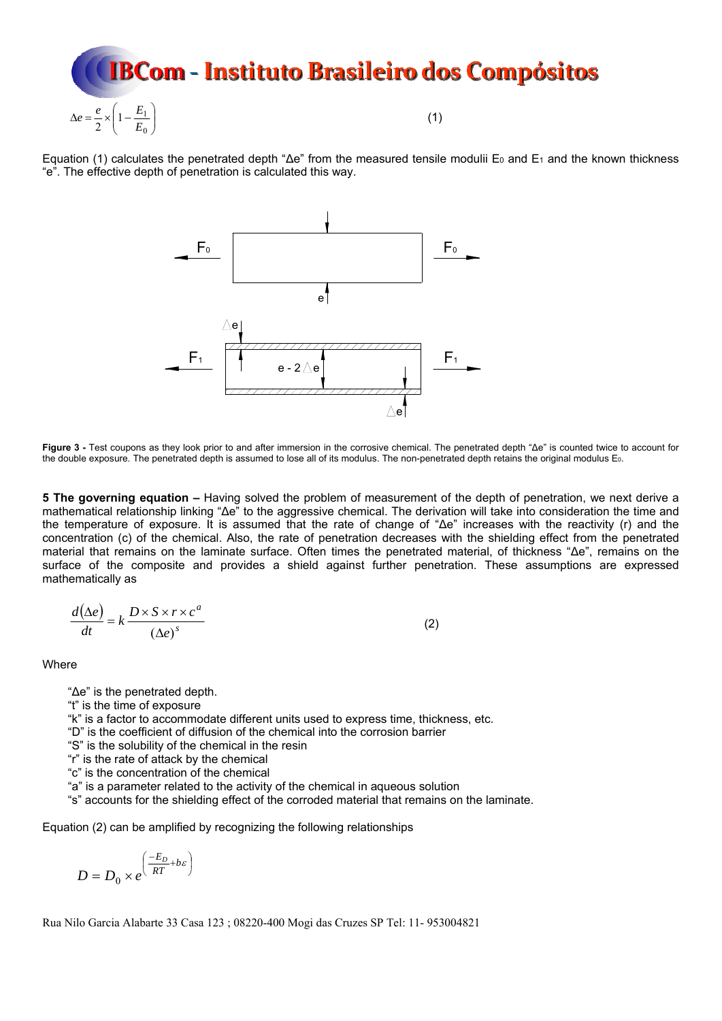

Equation (1) calculates the penetrated depth " $\Delta e$ " from the measured tensile modulii E<sub>0</sub> and E<sub>1</sub> and the known thickness "e". The effective depth of penetration is calculated this way.



**Figure 3 -** Test coupons as they look prior to and after immersion in the corrosive chemical. The penetrated depth "Δe" is counted twice to account for the double exposure. The penetrated depth is assumed to lose all of its modulus. The non-penetrated depth retains the original modulus E<sub>0</sub>.

**5 The governing equation –** Having solved the problem of measurement of the depth of penetration, we next derive a mathematical relationship linking "Δe" to the aggressive chemical. The derivation will take into consideration the time and the temperature of exposure. It is assumed that the rate of change of "Δe" increases with the reactivity (r) and the concentration (c) of the chemical. Also, the rate of penetration decreases with the shielding effect from the penetrated material that remains on the laminate surface. Often times the penetrated material, of thickness "Δe", remains on the surface of the composite and provides a shield against further penetration. These assumptions are expressed mathematically as

$$
\frac{d(\Delta e)}{dt} = k \frac{D \times S \times r \times c^a}{(\Delta e)^s}
$$
 (2)

**Where** 

"Δe" is the penetrated depth.

"t" is the time of exposure

"k" is a factor to accommodate different units used to express time, thickness, etc.

"D" is the coefficient of diffusion of the chemical into the corrosion barrier

"S" is the solubility of the chemical in the resin

"r" is the rate of attack by the chemical

"c" is the concentration of the chemical

"a" is a parameter related to the activity of the chemical in aqueous solution

"s" accounts for the shielding effect of the corroded material that remains on the laminate.

Equation (2) can be amplified by recognizing the following relationships

$$
D = D_0 \times e^{\left(\frac{-E_D}{RT} + b\varepsilon\right)}
$$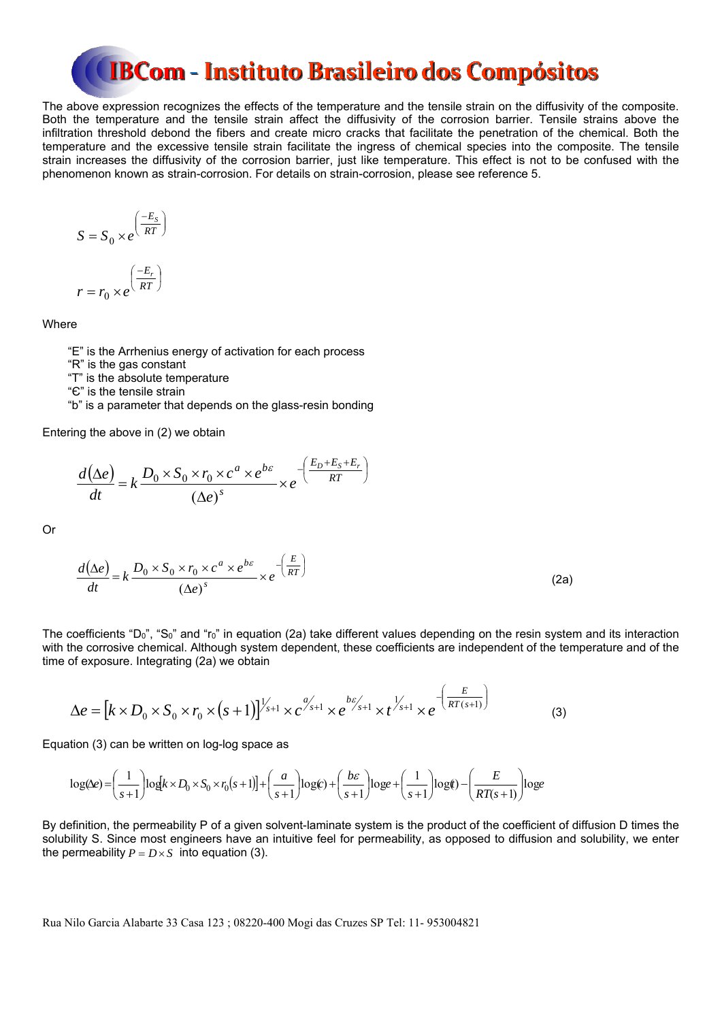The above expression recognizes the effects of the temperature and the tensile strain on the diffusivity of the composite. Both the temperature and the tensile strain affect the diffusivity of the corrosion barrier. Tensile strains above the infiltration threshold debond the fibers and create micro cracks that facilitate the penetration of the chemical. Both the temperature and the excessive tensile strain facilitate the ingress of chemical species into the composite. The tensile strain increases the diffusivity of the corrosion barrier, just like temperature. This effect is not to be confused with the phenomenon known as strain-corrosion. For details on strain-corrosion, please see reference 5.

$$
S = S_0 \times e^{\left(\frac{-E_s}{RT}\right)}
$$

$$
r = r_0 \times e^{\left(\frac{-E_r}{RT}\right)}
$$

Where

"E" is the Arrhenius energy of activation for each process

"R" is the gas constant

"T" is the absolute temperature

"Є" is the tensile strain

"b" is a parameter that depends on the glass-resin bonding

Entering the above in (2) we obtain

$$
\frac{d(\Delta e)}{dt} = k \frac{D_0 \times S_0 \times r_0 \times c^a \times e^{b\epsilon}}{(\Delta e)^s} \times e^{-\left(\frac{E_D + E_S + E_r}{RT}\right)}
$$

Or

$$
\frac{d(\Delta e)}{dt} = k \frac{D_0 \times S_0 \times r_0 \times c^a \times e^{b\epsilon}}{(\Delta e)^s} \times e^{-\left(\frac{E}{RT}\right)}
$$
(2a)

The coefficients "D<sub>0</sub>", "S<sub>0</sub>" and "r<sub>0</sub>" in equation (2a) take different values depending on the resin system and its interaction with the corrosive chemical. Although system dependent, these coefficients are independent of the temperature and of the time of exposure. Integrating (2a) we obtain

$$
\Delta e = \left[k \times D_0 \times S_0 \times r_0 \times (s+1)\right]^{1/2} \times c^{a/2} \times e^{bc/2} \times t^{1/2} \times t^{1/2} \times e^{-\left(\frac{E}{RT(s+1)}\right)}
$$
(3)

Equation (3) can be written on log-log space as

$$
\log(\Delta e) = \left(\frac{1}{s+1}\right) \log\left[k \times D_0 \times S_0 \times r_0(s+1)\right] + \left(\frac{a}{s+1}\right) \log(c) + \left(\frac{b\varepsilon}{s+1}\right) \log e + \left(\frac{1}{s+1}\right) \log(r) - \left(\frac{E}{RT(s+1)}\right) \log(e)
$$

By definition, the permeability P of a given solvent-laminate system is the product of the coefficient of diffusion D times the solubility S. Since most engineers have an intuitive feel for permeability, as opposed to diffusion and solubility, we enter the permeability  $P = D \times S$  into equation (3).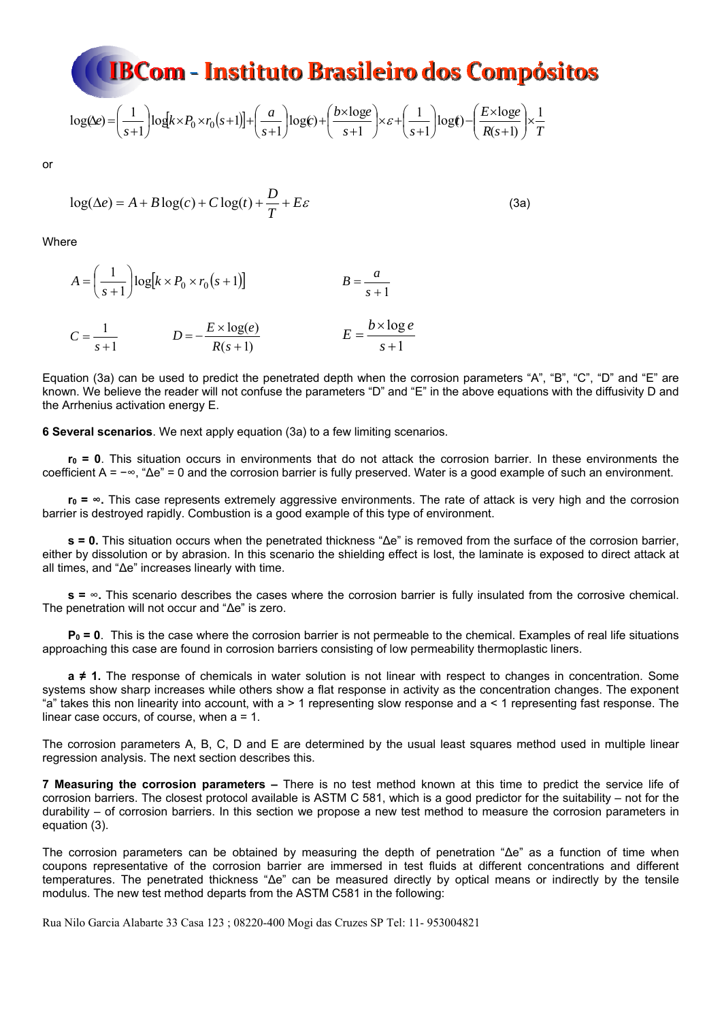$$
\log(\mathbf{k}) = \left(\frac{1}{s+1}\right) \log(k \times P_0 \times r_0(s+1)) + \left(\frac{a}{s+1}\right) \log(\mathbf{k}) + \left(\frac{b \times \log(\mathbf{k})}{s+1}\right) \times \mathbf{E} + \left(\frac{1}{s+1}\right) \log(\mathbf{k}) - \left(\frac{E \times \log(\mathbf{k})}{R(s+1)}\right) \times \frac{1}{T}
$$

or

$$
\log(\Delta e) = A + B \log(c) + C \log(t) + \frac{D}{T} + E\varepsilon
$$
\n(3a)

Where

$$
A = \left(\frac{1}{s+1}\right) \log[k \times P_0 \times r_0(s+1)] \qquad B = \frac{a}{s+1}
$$
  

$$
C = \frac{1}{s+1} \qquad D = -\frac{E \times \log(e)}{R(s+1)} \qquad E = \frac{b \times \log(e)}{s+1}
$$

Equation (3a) can be used to predict the penetrated depth when the corrosion parameters "A", "B", "C", "D" and "E" are known. We believe the reader will not confuse the parameters "D" and "E" in the above equations with the diffusivity D and the Arrhenius activation energy E.

**6 Several scenarios**. We next apply equation (3a) to a few limiting scenarios.

**r0 = 0**. This situation occurs in environments that do not attack the corrosion barrier. In these environments the coefficient A = −∞, "Δe" = 0 and the corrosion barrier is fully preserved. Water is a good example of such an environment.

**r0 = ∞.** This case represents extremely aggressive environments. The rate of attack is very high and the corrosion barrier is destroyed rapidly. Combustion is a good example of this type of environment.

**s = 0.** This situation occurs when the penetrated thickness "Δe" is removed from the surface of the corrosion barrier, either by dissolution or by abrasion. In this scenario the shielding effect is lost, the laminate is exposed to direct attack at all times, and "Δe" increases linearly with time.

**s =** ∞**.** This scenario describes the cases where the corrosion barrier is fully insulated from the corrosive chemical. The penetration will not occur and "Δe" is zero.

**P0 = 0**. This is the case where the corrosion barrier is not permeable to the chemical. Examples of real life situations approaching this case are found in corrosion barriers consisting of low permeability thermoplastic liners.

**a ≠ 1.** The response of chemicals in water solution is not linear with respect to changes in concentration. Some systems show sharp increases while others show a flat response in activity as the concentration changes. The exponent "a" takes this non linearity into account, with  $a > 1$  representing slow response and  $a < 1$  representing fast response. The linear case occurs, of course, when a = 1.

The corrosion parameters A, B, C, D and E are determined by the usual least squares method used in multiple linear regression analysis. The next section describes this.

**7 Measuring the corrosion parameters –** There is no test method known at this time to predict the service life of corrosion barriers. The closest protocol available is ASTM C 581, which is a good predictor for the suitability – not for the durability – of corrosion barriers. In this section we propose a new test method to measure the corrosion parameters in equation (3).

The corrosion parameters can be obtained by measuring the depth of penetration "Δe" as a function of time when coupons representative of the corrosion barrier are immersed in test fluids at different concentrations and different temperatures. The penetrated thickness "Δe" can be measured directly by optical means or indirectly by the tensile modulus. The new test method departs from the ASTM C581 in the following: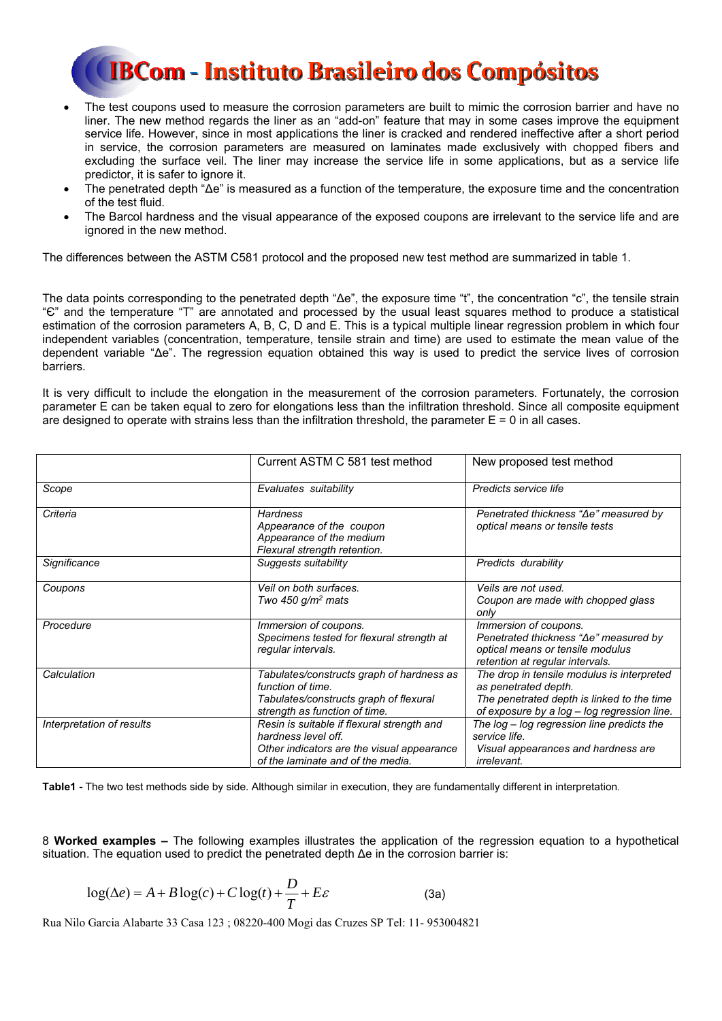- The test coupons used to measure the corrosion parameters are built to mimic the corrosion barrier and have no liner. The new method regards the liner as an "add-on" feature that may in some cases improve the equipment service life. However, since in most applications the liner is cracked and rendered ineffective after a short period in service, the corrosion parameters are measured on laminates made exclusively with chopped fibers and excluding the surface veil. The liner may increase the service life in some applications, but as a service life predictor, it is safer to ignore it.
- The penetrated depth "Δe" is measured as a function of the temperature, the exposure time and the concentration of the test fluid.
- The Barcol hardness and the visual appearance of the exposed coupons are irrelevant to the service life and are ignored in the new method.

The differences between the ASTM C581 protocol and the proposed new test method are summarized in table 1.

The data points corresponding to the penetrated depth "Δe", the exposure time "t", the concentration "c", the tensile strain "Є" and the temperature "T" are annotated and processed by the usual least squares method to produce a statistical estimation of the corrosion parameters A, B, C, D and E. This is a typical multiple linear regression problem in which four independent variables (concentration, temperature, tensile strain and time) are used to estimate the mean value of the dependent variable "Δe". The regression equation obtained this way is used to predict the service lives of corrosion barriers.

It is very difficult to include the elongation in the measurement of the corrosion parameters. Fortunately, the corrosion parameter E can be taken equal to zero for elongations less than the infiltration threshold. Since all composite equipment are designed to operate with strains less than the infiltration threshold, the parameter  $E = 0$  in all cases.

|                           | Current ASTM C 581 test method                                                                                                                       | New proposed test method                                                                                                                                        |
|---------------------------|------------------------------------------------------------------------------------------------------------------------------------------------------|-----------------------------------------------------------------------------------------------------------------------------------------------------------------|
| Scope                     | Evaluates suitability                                                                                                                                | Predicts service life                                                                                                                                           |
| Criteria                  | <b>Hardness</b><br>Appearance of the coupon<br>Appearance of the medium<br>Flexural strength retention.                                              | Penetrated thickness "Ae" measured by<br>optical means or tensile tests                                                                                         |
| Significance              | Suggests suitability                                                                                                                                 | Predicts durability                                                                                                                                             |
| Coupons                   | Veil on both surfaces.<br>Two 450 $q/m^2$ mats                                                                                                       | Veils are not used.<br>Coupon are made with chopped glass<br>only                                                                                               |
| Procedure                 | Immersion of coupons.<br>Specimens tested for flexural strength at<br>regular intervals.                                                             | Immersion of coupons.<br>Penetrated thickness "∆e" measured by<br>optical means or tensile modulus<br>retention at regular intervals.                           |
| Calculation               | Tabulates/constructs graph of hardness as<br>function of time.<br>Tabulates/constructs graph of flexural<br>strength as function of time.            | The drop in tensile modulus is interpreted<br>as penetrated depth.<br>The penetrated depth is linked to the time<br>of exposure by a log - log regression line. |
| Interpretation of results | Resin is suitable if flexural strength and<br>hardness level off.<br>Other indicators are the visual appearance<br>of the laminate and of the media. | The log – log regression line predicts the<br>service life.<br>Visual appearances and hardness are<br>irrelevant.                                               |

**Table1 -** The two test methods side by side. Although similar in execution, they are fundamentally different in interpretation.

8 **Worked examples –** The following examples illustrates the application of the regression equation to a hypothetical situation. The equation used to predict the penetrated depth Δe in the corrosion barrier is:

$$
\log(\Delta e) = A + B \log(c) + C \log(t) + \frac{D}{T} + E\varepsilon
$$
 (3a)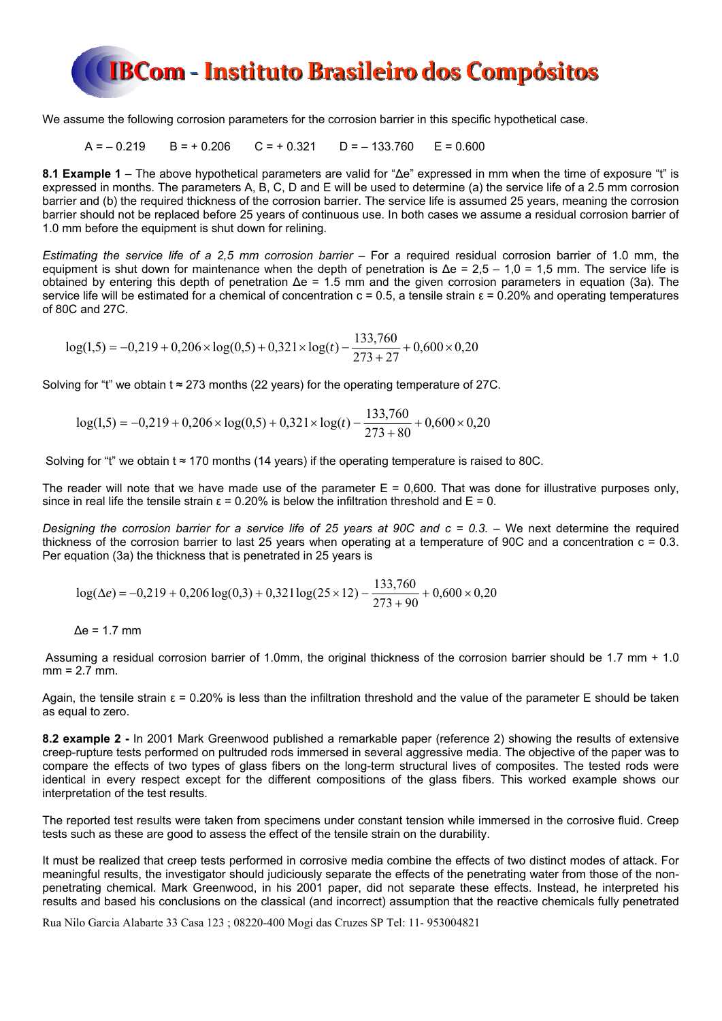

We assume the following corrosion parameters for the corrosion barrier in this specific hypothetical case.

 $A = -0.219$  B = + 0.206 C = + 0.321 D = - 133.760 E = 0.600

**8.1 Example 1** – The above hypothetical parameters are valid for "Δe" expressed in mm when the time of exposure "t" is expressed in months. The parameters A, B, C, D and E will be used to determine (a) the service life of a 2.5 mm corrosion barrier and (b) the required thickness of the corrosion barrier. The service life is assumed 25 years, meaning the corrosion barrier should not be replaced before 25 years of continuous use. In both cases we assume a residual corrosion barrier of 1.0 mm before the equipment is shut down for relining.

*Estimating the service life of a 2,5 mm corrosion barrier –* For a required residual corrosion barrier of 1.0 mm, the equipment is shut down for maintenance when the depth of penetration is  $\Delta e = 2.5 - 1.0 = 1.5$  mm. The service life is obtained by entering this depth of penetration Δe = 1.5 mm and the given corrosion parameters in equation (3a). The service life will be estimated for a chemical of concentration  $c = 0.5$ , a tensile strain  $\epsilon = 0.20\%$  and operating temperatures of 80C and 27C.

$$
log(1,5) = -0,219 + 0,206 \times log(0,5) + 0,321 \times log(t) - \frac{133,760}{273 + 27} + 0,600 \times 0,20
$$

Solving for "t" we obtain t  $\approx$  273 months (22 years) for the operating temperature of 27C.

$$
log(1,5) = -0,219 + 0,206 \times log(0,5) + 0,321 \times log(t) - \frac{133,760}{273 + 80} + 0,600 \times 0,20
$$

Solving for "t" we obtain t  $\approx$  170 months (14 years) if the operating temperature is raised to 80C.

The reader will note that we have made use of the parameter  $E = 0,600$ . That was done for illustrative purposes only, since in real life the tensile strain  $\varepsilon = 0.20\%$  is below the infiltration threshold and  $E = 0$ .

*Designing the corrosion barrier for a service life of 25 years at 90C and c = 0.3.* – We next determine the required thickness of the corrosion barrier to last 25 years when operating at a temperature of 90C and a concentration  $c = 0.3$ . Per equation (3a) the thickness that is penetrated in 25 years is

$$
\log(\Delta e) = -0.219 + 0.206 \log(0.3) + 0.321 \log(25 \times 12) - \frac{133,760}{273 + 90} + 0.600 \times 0.20
$$

 $Δe = 1.7$  mm

Assuming a residual corrosion barrier of 1.0mm, the original thickness of the corrosion barrier should be 1.7 mm + 1.0 mm = 2.7 mm.

Again, the tensile strain  $ε = 0.20\%$  is less than the infiltration threshold and the value of the parameter E should be taken as equal to zero.

**8.2 example 2 -** In 2001 Mark Greenwood published a remarkable paper (reference 2) showing the results of extensive creep-rupture tests performed on pultruded rods immersed in several aggressive media. The objective of the paper was to compare the effects of two types of glass fibers on the long-term structural lives of composites. The tested rods were identical in every respect except for the different compositions of the glass fibers. This worked example shows our interpretation of the test results.

The reported test results were taken from specimens under constant tension while immersed in the corrosive fluid. Creep tests such as these are good to assess the effect of the tensile strain on the durability.

It must be realized that creep tests performed in corrosive media combine the effects of two distinct modes of attack. For meaningful results, the investigator should judiciously separate the effects of the penetrating water from those of the nonpenetrating chemical. Mark Greenwood, in his 2001 paper, did not separate these effects. Instead, he interpreted his results and based his conclusions on the classical (and incorrect) assumption that the reactive chemicals fully penetrated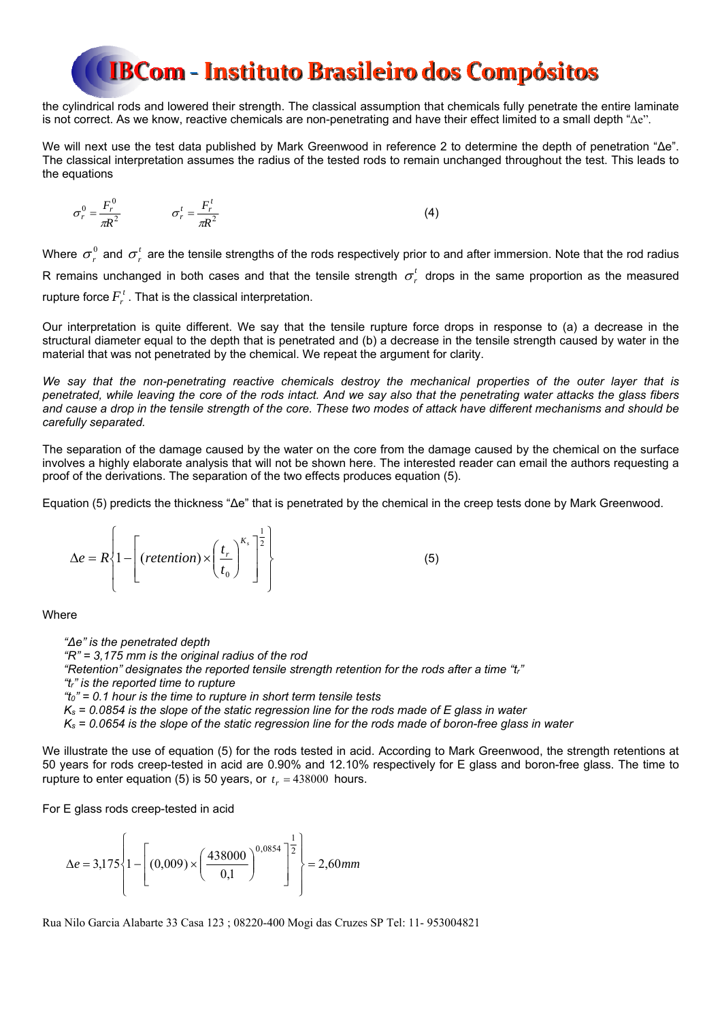the cylindrical rods and lowered their strength. The classical assumption that chemicals fully penetrate the entire laminate is not correct. As we know, reactive chemicals are non-penetrating and have their effect limited to a small depth "Δe".

We will next use the test data published by Mark Greenwood in reference 2 to determine the depth of penetration "Δe". The classical interpretation assumes the radius of the tested rods to remain unchanged throughout the test. This leads to the equations

$$
\sigma_r^0 = \frac{F_r^0}{\pi R^2} \qquad \qquad \sigma_r^t = \frac{F_r^t}{\pi R^2} \tag{4}
$$

Where  $\sigma_r^0$  and  $\sigma_r^t$  are the tensile strengths of the rods respectively prior to and after immersion. Note that the rod radius R remains unchanged in both cases and that the tensile strength  $\sigma_r^t$  drops in the same proportion as the measured rupture force  $F_r^t$ . That is the classical interpretation.

Our interpretation is quite different. We say that the tensile rupture force drops in response to (a) a decrease in the structural diameter equal to the depth that is penetrated and (b) a decrease in the tensile strength caused by water in the material that was not penetrated by the chemical. We repeat the argument for clarity.

*We say that the non-penetrating reactive chemicals destroy the mechanical properties of the outer layer that is penetrated, while leaving the core of the rods intact. And we say also that the penetrating water attacks the glass fibers and cause a drop in the tensile strength of the core. These two modes of attack have different mechanisms and should be carefully separated.* 

The separation of the damage caused by the water on the core from the damage caused by the chemical on the surface involves a highly elaborate analysis that will not be shown here. The interested reader can email the authors requesting a proof of the derivations. The separation of the two effects produces equation (5).

Equation (5) predicts the thickness "Δe" that is penetrated by the chemical in the creep tests done by Mark Greenwood.

$$
\Delta e = R \left\{ 1 - \left[ \left( \text{reterition} \right) \times \left( \frac{t_r}{t_0} \right)^{K_s} \right]^{\frac{1}{2}} \right\} \tag{5}
$$

Where

*"Δe" is the penetrated depth "R" = 3,175 mm is the original radius of the rod "Retention" designates the reported tensile strength retention for the rods after a time "tr" "tr" is the reported time to rupture "t0" = 0.1 hour is the time to rupture in short term tensile tests Ks = 0.0854 is the slope of the static regression line for the rods made of E glass in water Ks = 0.0654 is the slope of the static regression line for the rods made of boron-free glass in water* 

We illustrate the use of equation (5) for the rods tested in acid. According to Mark Greenwood, the strength retentions at 50 years for rods creep-tested in acid are 0.90% and 12.10% respectively for E glass and boron-free glass. The time to rupture to enter equation (5) is 50 years, or  $t = 438000$  hours.

For E glass rods creep-tested in acid

 $e = 3.175\{1 - (0.009) \times \frac{+50000}{400}\}$   $\left\{\frac{=2.60 \text{mm}}{2000}\right\}$ 0,1  $3,175\left\{1-\left(\frac{0,009}{2}\right)\times\left(\frac{438000}{2}\right)^{0,0854}\right\}^2$ 1 0,0854  $=$  $\overline{\phantom{a}}$ J  $\overline{\phantom{a}}$  $\left\{ \right.$  $\Big\}$  $\overline{\phantom{a}}$  $\overline{\mathfrak{l}}$  $\bigg\}$ ₹  $\int$  $\overline{\phantom{a}}$  $\overline{\phantom{a}}$  $\overline{\phantom{a}}$  $\overline{\phantom{a}}$  $\mathsf{I}$  $\mathbf{r}$ L  $\mathbf{r}$  $\overline{\phantom{a}}$  $\left(\frac{438000}{0,1}\right)$  $\overline{\mathcal{L}}$  $\Delta e = 3.175 \left\{ 1 - \left( (0.009) \times \left( \frac{438000}{0.1} \right)^{0.003} \right)^2 \right\} = 2.60 \text{ mm}$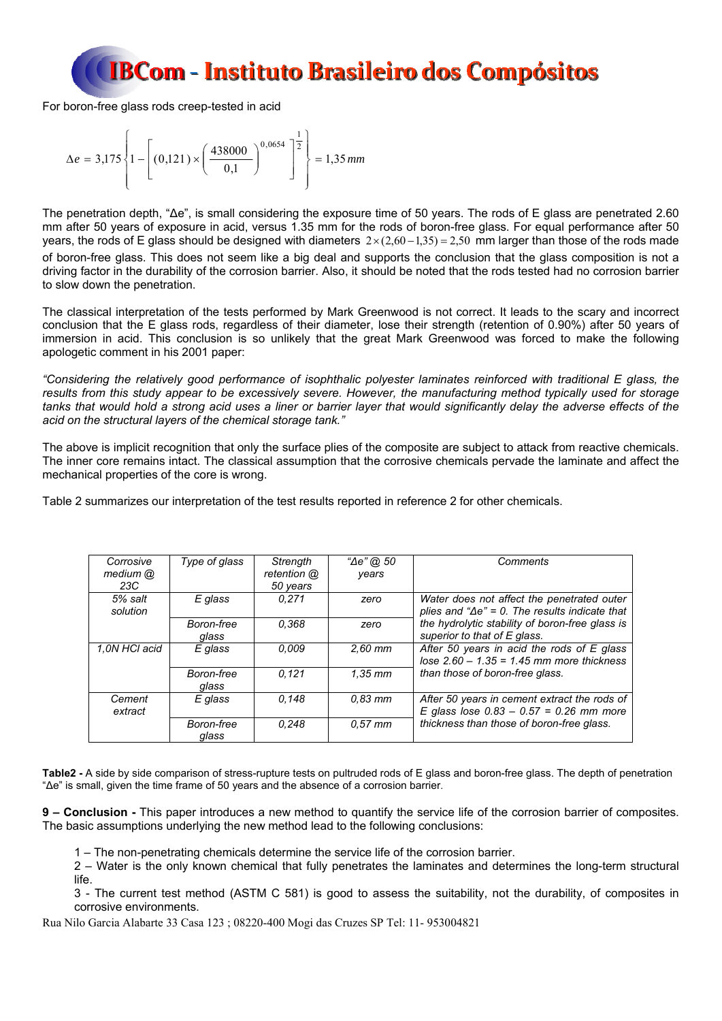For boron-free glass rods creep-tested in acid

$$
\Delta e = 3,175 \left\{ 1 - \left[ (0,121) \times \left( \frac{438000}{0,1} \right)^{0,0654} \right]^{\frac{1}{2}} \right\} = 1,35 \text{ mm}
$$

The penetration depth, "Δe", is small considering the exposure time of 50 years. The rods of E glass are penetrated 2.60 mm after 50 years of exposure in acid, versus 1.35 mm for the rods of boron-free glass. For equal performance after 50 years, the rods of E glass should be designed with diameters  $2 \times (2,60 - 1,35) = 2,50$  mm larger than those of the rods made of boron-free glass. This does not seem like a big deal and supports the conclusion that the glass composition is not a driving factor in the durability of the corrosion barrier. Also, it should be noted that the rods tested had no corrosion barrier to slow down the penetration.

The classical interpretation of the tests performed by Mark Greenwood is not correct. It leads to the scary and incorrect conclusion that the E glass rods, regardless of their diameter, lose their strength (retention of 0.90%) after 50 years of immersion in acid. This conclusion is so unlikely that the great Mark Greenwood was forced to make the following apologetic comment in his 2001 paper:

*"Considering the relatively good performance of isophthalic polyester laminates reinforced with traditional E glass, the results from this study appear to be excessively severe. However, the manufacturing method typically used for storage tanks that would hold a strong acid uses a liner or barrier layer that would significantly delay the adverse effects of the acid on the structural layers of the chemical storage tank."* 

The above is implicit recognition that only the surface plies of the composite are subject to attack from reactive chemicals. The inner core remains intact. The classical assumption that the corrosive chemicals pervade the laminate and affect the mechanical properties of the core is wrong.

Table 2 summarizes our interpretation of the test results reported in reference 2 for other chemicals.

| Corrosive<br>medium @<br>23C | Type of glass       | Strength<br>retention @<br>50 years | "∆e" @, 50<br>vears | Comments                                                                                              |
|------------------------------|---------------------|-------------------------------------|---------------------|-------------------------------------------------------------------------------------------------------|
| 5% salt<br>solution          | E glass             | 0.271                               | zero                | Water does not affect the penetrated outer<br>plies and " $\Delta e$ " = 0. The results indicate that |
|                              | Boron-free<br>glass | 0.368                               | zero                | the hydrolytic stability of boron-free glass is<br>superior to that of E glass.                       |
| 1.0N HCI acid                | E glass             | 0.009                               | $2.60$ mm           | After 50 years in acid the rods of E glass<br>lose $2.60 - 1.35 = 1.45$ mm more thickness             |
|                              | Boron-free<br>glass | 0.121                               | $1.35$ mm           | than those of boron-free glass.                                                                       |
| Cement<br>extract            | E glass             | 0.148                               | $0.83$ mm           | After 50 years in cement extract the rods of<br>E glass lose $0.83 - 0.57 = 0.26$ mm more             |
|                              | Boron-free<br>glass | 0.248                               | $0.57$ mm           | thickness than those of boron-free glass.                                                             |

Table2 - A side by side comparison of stress-rupture tests on pultruded rods of E glass and boron-free glass. The depth of penetration "Δe" is small, given the time frame of 50 years and the absence of a corrosion barrier.

**9 – Conclusion -** This paper introduces a new method to quantify the service life of the corrosion barrier of composites. The basic assumptions underlying the new method lead to the following conclusions:

1 – The non-penetrating chemicals determine the service life of the corrosion barrier.

2 – Water is the only known chemical that fully penetrates the laminates and determines the long-term structural life.

3 - The current test method (ASTM C 581) is good to assess the suitability, not the durability, of composites in corrosive environments.